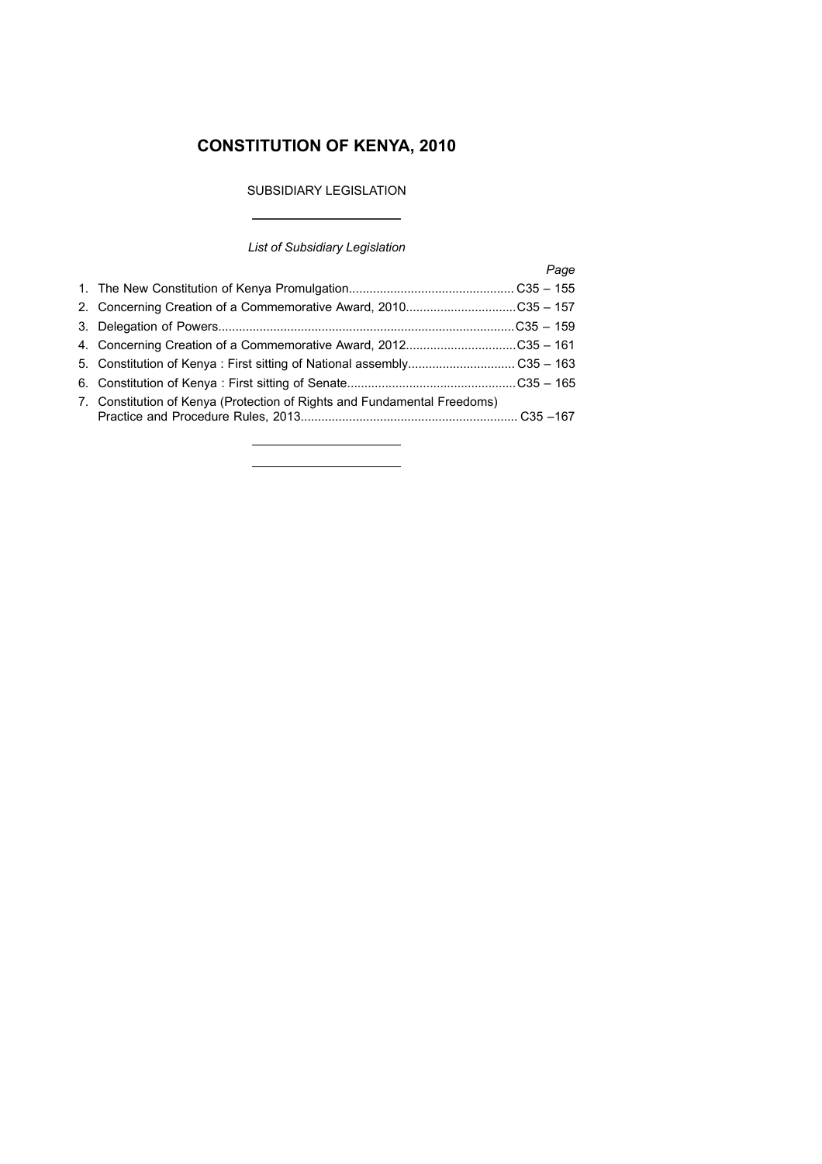# **CONSTITUTION OF KENYA, 2010**

# SUBSIDIARY LEGISLATION

# *List of Subsidiary Legislation*

 $\overline{\phantom{a}}$ 

|                                                                          | Page |
|--------------------------------------------------------------------------|------|
|                                                                          |      |
|                                                                          |      |
|                                                                          |      |
| 4. Concerning Creation of a Commemorative Award, 2012C35 - 161           |      |
|                                                                          |      |
|                                                                          |      |
| 7. Constitution of Kenya (Protection of Rights and Fundamental Freedoms) |      |

<u> 1989 - Johann Barbara, martxa a</u>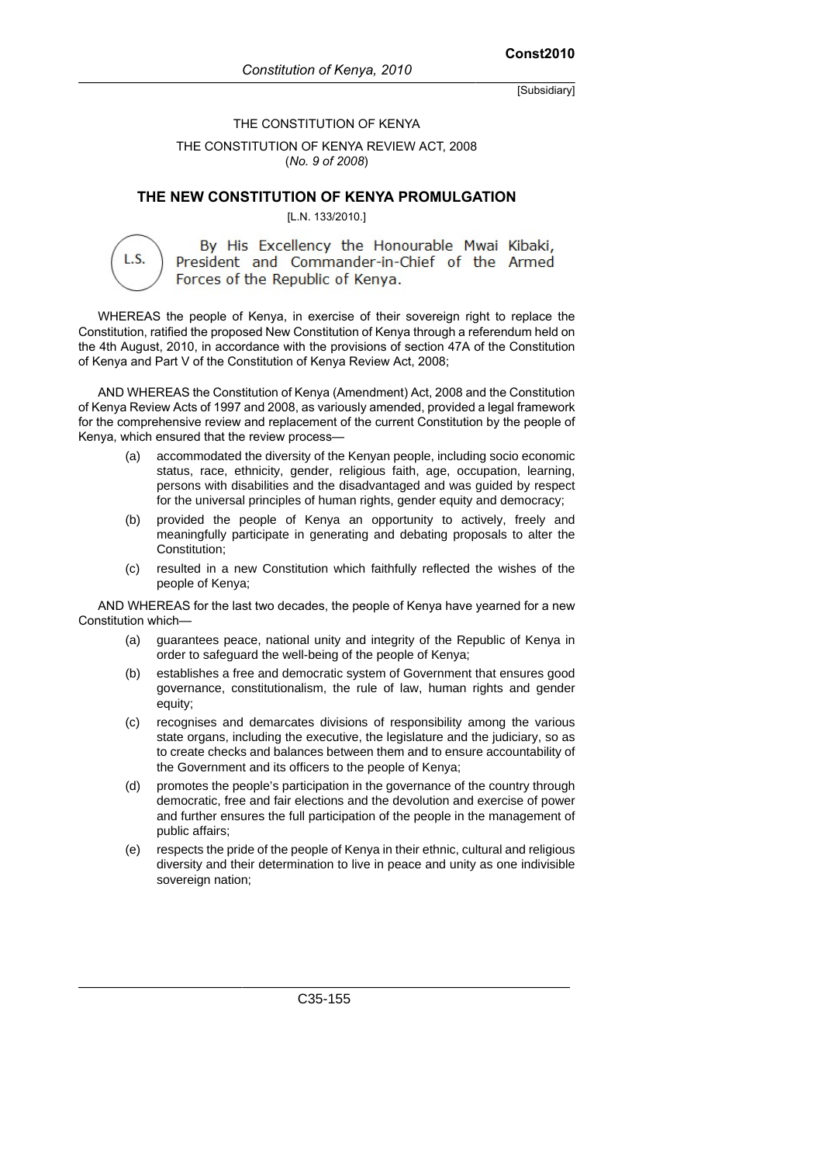#### THE CONSTITUTION OF KENYA

THE CONSTITUTION OF KENYA REVIEW ACT, 2008 (*No. 9 of 2008*)

#### **THE NEW CONSTITUTION OF KENYA PROMULGATION**

[L.N. 133/2010.]

L.S.

By His Excellency the Honourable Mwai Kibaki, President and Commander-in-Chief of the Armed Forces of the Republic of Kenya.

WHEREAS the people of Kenya, in exercise of their sovereign right to replace the Constitution, ratified the proposed New Constitution of Kenya through a referendum held on the 4th August, 2010, in accordance with the provisions of section 47A of the Constitution of Kenya and Part V of the Constitution of Kenya Review Act, 2008;

AND WHEREAS the Constitution of Kenya (Amendment) Act, 2008 and the Constitution of Kenya Review Acts of 1997 and 2008, as variously amended, provided a legal framework for the comprehensive review and replacement of the current Constitution by the people of Kenya, which ensured that the review process—

- (a) accommodated the diversity of the Kenyan people, including socio economic status, race, ethnicity, gender, religious faith, age, occupation, learning, persons with disabilities and the disadvantaged and was guided by respect for the universal principles of human rights, gender equity and democracy;
- (b) provided the people of Kenya an opportunity to actively, freely and meaningfully participate in generating and debating proposals to alter the Constitution;
- (c) resulted in a new Constitution which faithfully reflected the wishes of the people of Kenya;

AND WHEREAS for the last two decades, the people of Kenya have yearned for a new Constitution which—

- (a) guarantees peace, national unity and integrity of the Republic of Kenya in order to safeguard the well-being of the people of Kenya;
- (b) establishes a free and democratic system of Government that ensures good governance, constitutionalism, the rule of law, human rights and gender equity;
- (c) recognises and demarcates divisions of responsibility among the various state organs, including the executive, the legislature and the judiciary, so as to create checks and balances between them and to ensure accountability of the Government and its officers to the people of Kenya;
- (d) promotes the people's participation in the governance of the country through democratic, free and fair elections and the devolution and exercise of power and further ensures the full participation of the people in the management of public affairs;
- (e) respects the pride of the people of Kenya in their ethnic, cultural and religious diversity and their determination to live in peace and unity as one indivisible sovereign nation;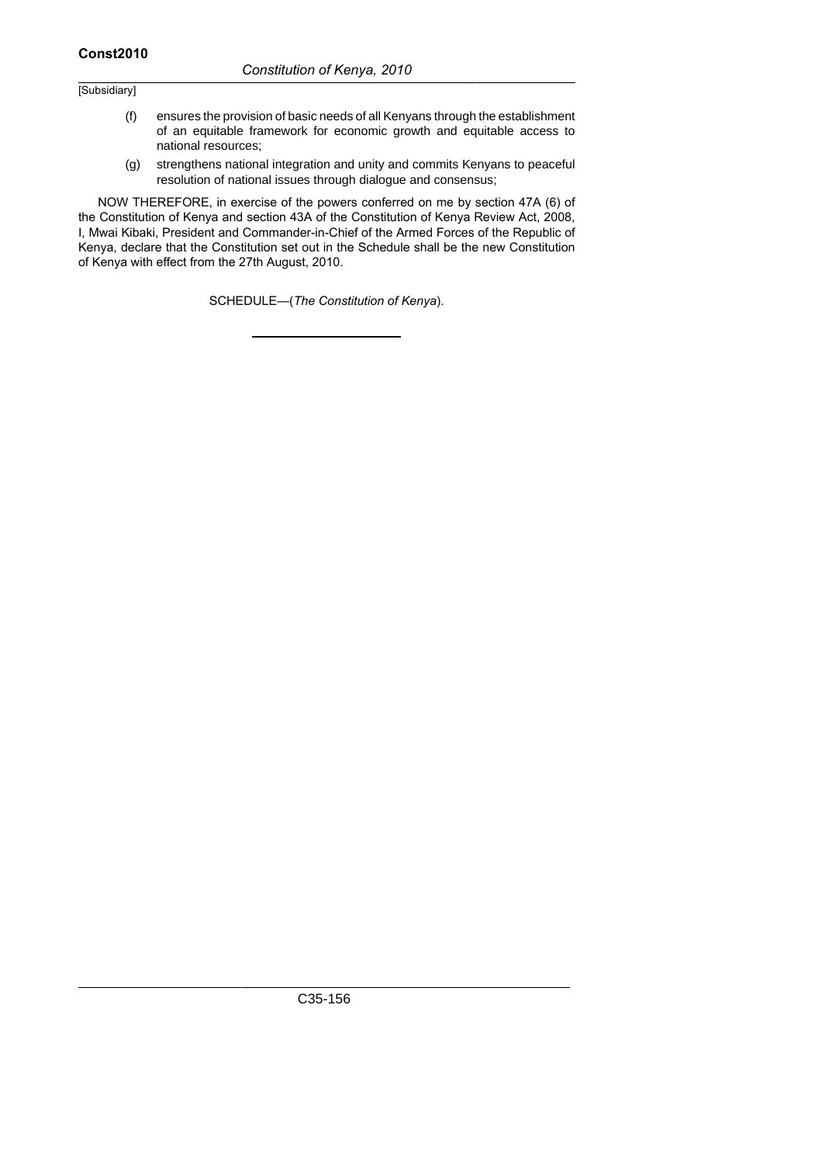- (f) ensures the provision of basic needs of all Kenyans through the establishment of an equitable framework for economic growth and equitable access to national resources;
- (g) strengthens national integration and unity and commits Kenyans to peaceful resolution of national issues through dialogue and consensus;

NOW THEREFORE, in exercise of the powers conferred on me by section 47A (6) of the Constitution of Kenya and section 43A of the Constitution of Kenya Review Act, 2008, I, Mwai Kibaki, President and Commander-in-Chief of the Armed Forces of the Republic of Kenya, declare that the Constitution set out in the Schedule shall be the new Constitution of Kenya with effect from the 27th August, 2010.

SCHEDULE—(*The Constitution of Kenya*).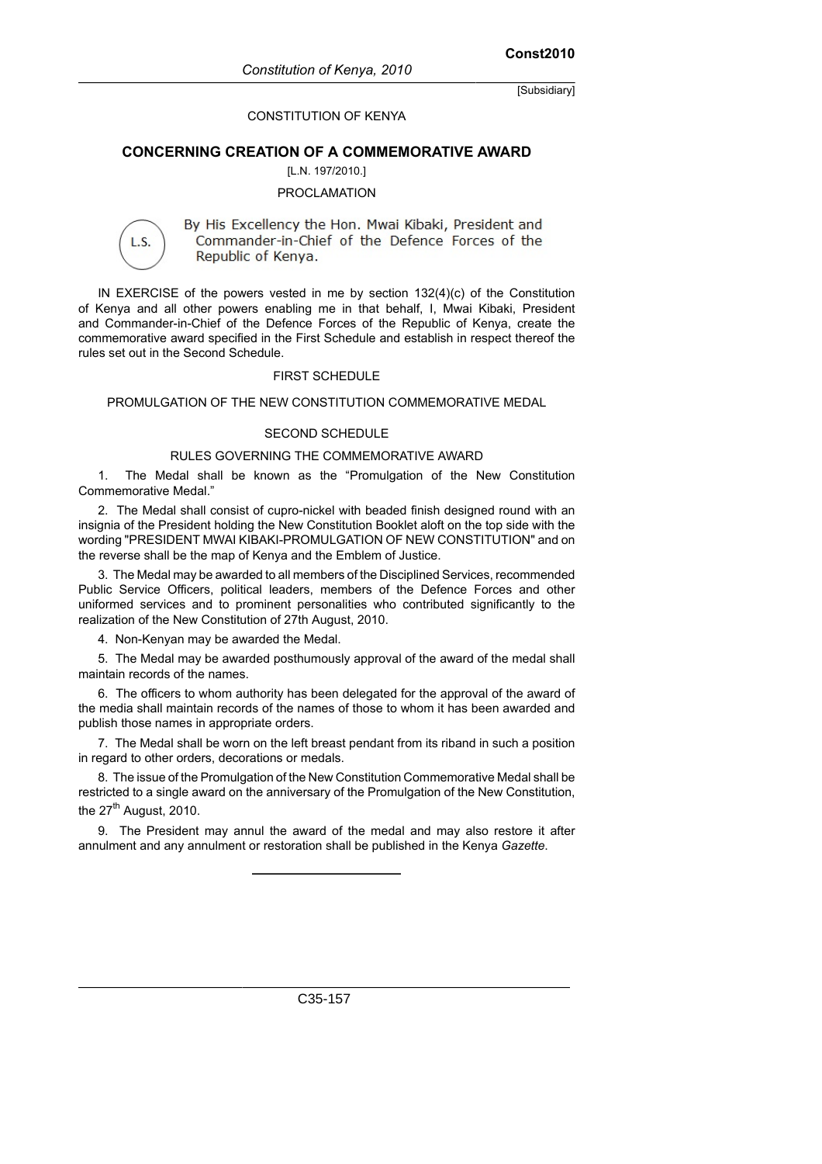#### CONSTITUTION OF KENYA

#### **CONCERNING CREATION OF A COMMEMORATIVE AWARD**

#### [L.N. 197/2010.]

#### PROCLAMATION

L.S.

By His Excellency the Hon. Mwai Kibaki, President and Commander-in-Chief of the Defence Forces of the Republic of Kenya.

IN EXERCISE of the powers vested in me by section 132(4)(c) of the Constitution of Kenya and all other powers enabling me in that behalf, I, Mwai Kibaki, President and Commander-in-Chief of the Defence Forces of the Republic of Kenya, create the commemorative award specified in the First Schedule and establish in respect thereof the rules set out in the Second Schedule.

#### FIRST SCHEDULE

#### PROMULGATION OF THE NEW CONSTITUTION COMMEMORATIVE MEDAL

#### SECOND SCHEDULE

#### RULES GOVERNING THE COMMEMORATIVE AWARD

1. The Medal shall be known as the "Promulgation of the New Constitution Commemorative Medal."

2. The Medal shall consist of cupro-nickel with beaded finish designed round with an insignia of the President holding the New Constitution Booklet aloft on the top side with the wording "PRESIDENT MWAI KIBAKI-PROMULGATION OF NEW CONSTITUTION" and on the reverse shall be the map of Kenya and the Emblem of Justice.

3. The Medal may be awarded to all members of the Disciplined Services, recommended Public Service Officers, political leaders, members of the Defence Forces and other uniformed services and to prominent personalities who contributed significantly to the realization of the New Constitution of 27th August, 2010.

4. Non-Kenyan may be awarded the Medal.

5. The Medal may be awarded posthumously approval of the award of the medal shall maintain records of the names.

6. The officers to whom authority has been delegated for the approval of the award of the media shall maintain records of the names of those to whom it has been awarded and publish those names in appropriate orders.

7. The Medal shall be worn on the left breast pendant from its riband in such a position in regard to other orders, decorations or medals.

8. The issue of the Promulgation of the New Constitution Commemorative Medal shall be restricted to a single award on the anniversary of the Promulgation of the New Constitution, the  $27<sup>th</sup>$  August, 2010.

9. The President may annul the award of the medal and may also restore it after annulment and any annulment or restoration shall be published in the Kenya *Gazette*.

C35-157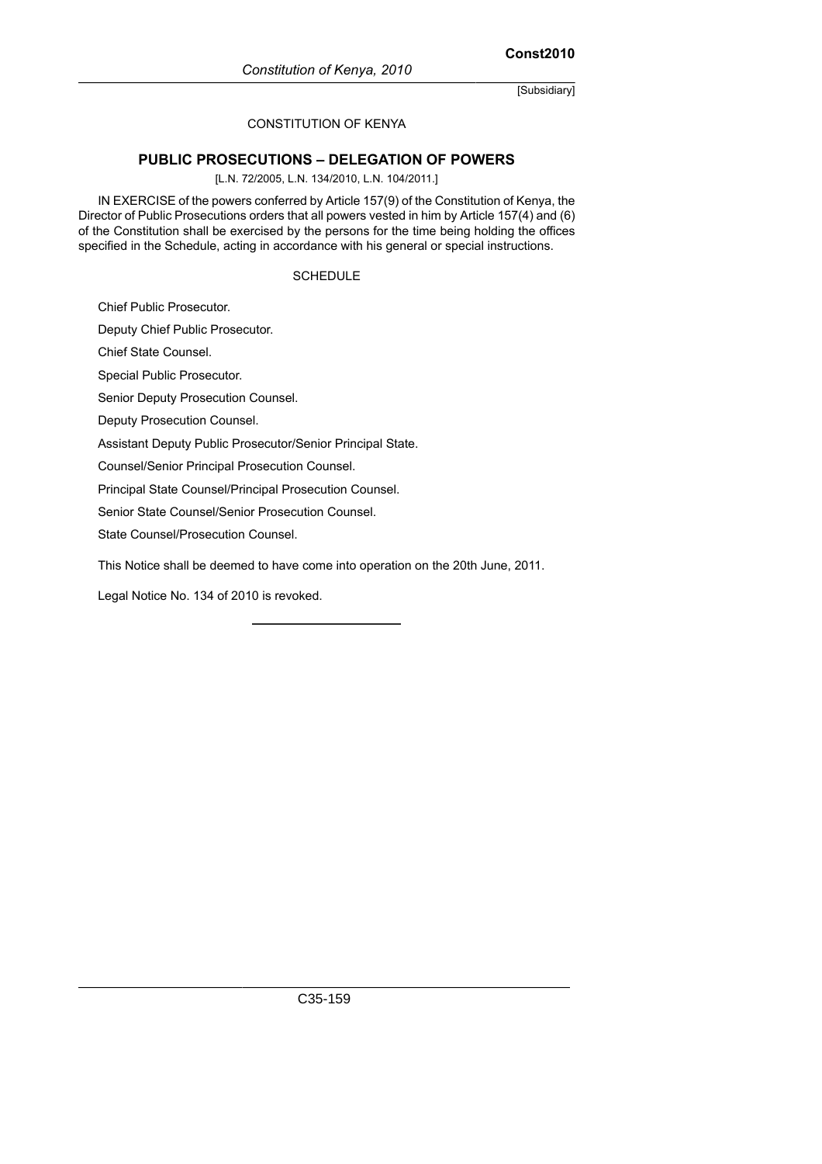# CONSTITUTION OF KENYA

# **PUBLIC PROSECUTIONS – DELEGATION OF POWERS**

[L.N. 72/2005, L.N. 134/2010, L.N. 104/2011.]

IN EXERCISE of the powers conferred by Article 157(9) of the Constitution of Kenya, the Director of Public Prosecutions orders that all powers vested in him by Article 157(4) and (6) of the Constitution shall be exercised by the persons for the time being holding the offices specified in the Schedule, acting in accordance with his general or special instructions.

#### SCHEDULE

Chief Public Prosecutor.

Deputy Chief Public Prosecutor.

Chief State Counsel.

Special Public Prosecutor.

Senior Deputy Prosecution Counsel.

Deputy Prosecution Counsel.

Assistant Deputy Public Prosecutor/Senior Principal State.

Counsel/Senior Principal Prosecution Counsel.

Principal State Counsel/Principal Prosecution Counsel.

Senior State Counsel/Senior Prosecution Counsel.

State Counsel/Prosecution Counsel.

This Notice shall be deemed to have come into operation on the 20th June, 2011.

Legal Notice No. 134 of 2010 is revoked.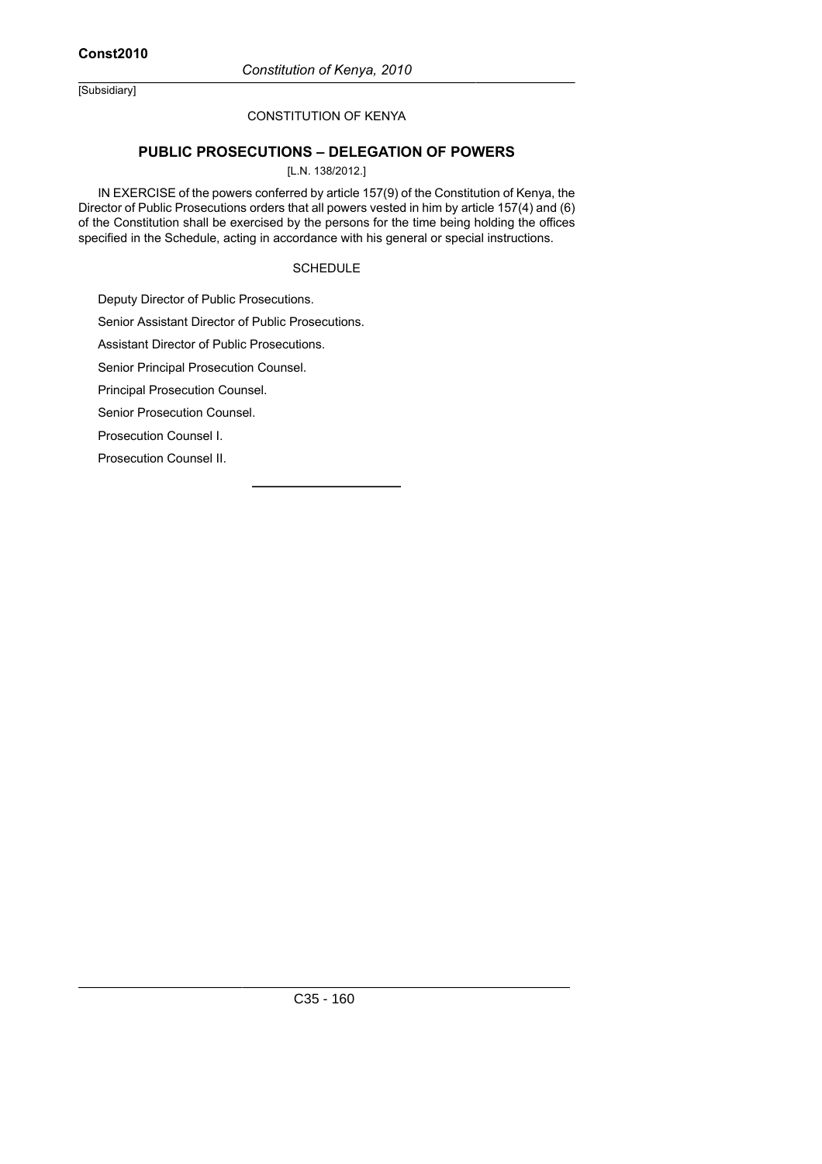# CONSTITUTION OF KENYA

# **PUBLIC PROSECUTIONS – DELEGATION OF POWERS**

#### [L.N. 138/2012.]

IN EXERCISE of the powers conferred by article 157(9) of the Constitution of Kenya, the Director of Public Prosecutions orders that all powers vested in him by article 157(4) and (6) of the Constitution shall be exercised by the persons for the time being holding the offices specified in the Schedule, acting in accordance with his general or special instructions.

#### SCHEDULE

Deputy Director of Public Prosecutions.

Senior Assistant Director of Public Prosecutions.

Assistant Director of Public Prosecutions.

Senior Principal Prosecution Counsel.

Principal Prosecution Counsel.

Senior Prosecution Counsel.

Prosecution Counsel I.

Prosecution Counsel II.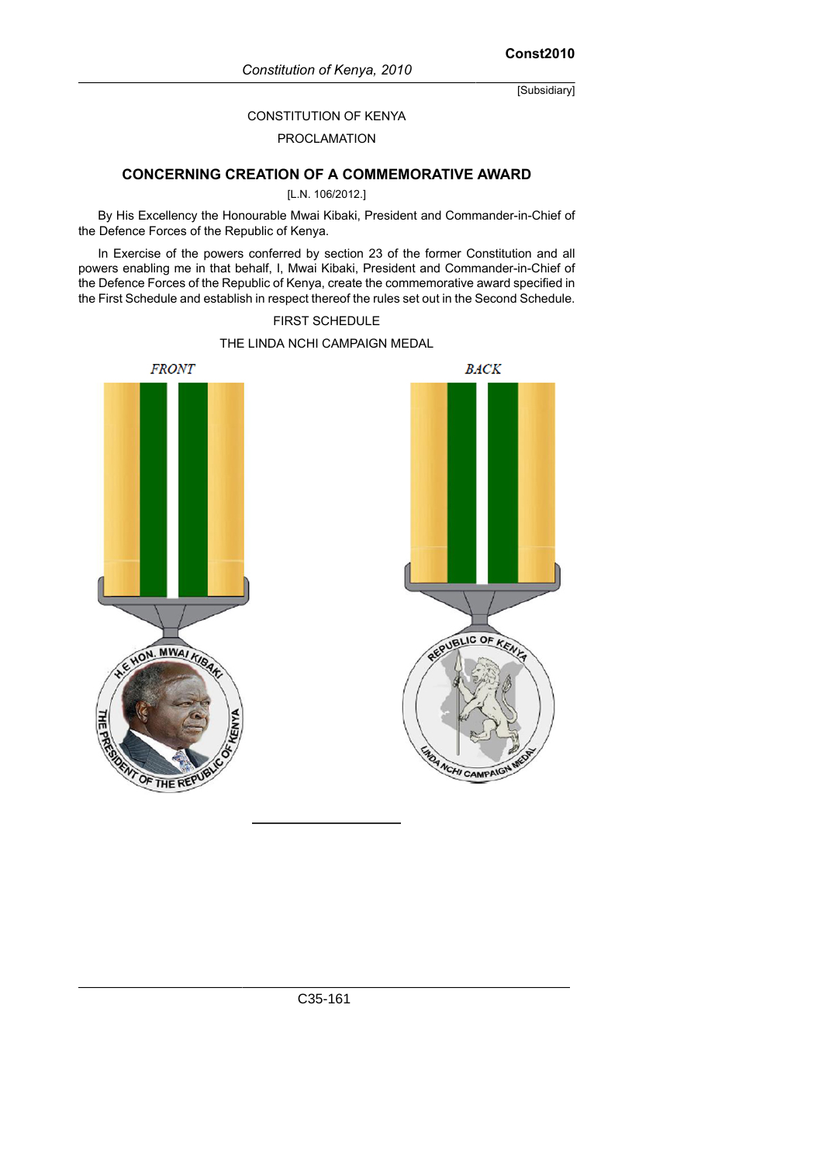**Const2010**

[Subsidiary]

#### CONSTITUTION OF KENYA

#### PROCLAMATION

# **CONCERNING CREATION OF A COMMEMORATIVE AWARD**

#### [L.N. 106/2012.]

By His Excellency the Honourable Mwai Kibaki, President and Commander-in-Chief of the Defence Forces of the Republic of Kenya.

In Exercise of the powers conferred by section 23 of the former Constitution and all powers enabling me in that behalf, I, Mwai Kibaki, President and Commander-in-Chief of the Defence Forces of the Republic of Kenya, create the commemorative award specified in the First Schedule and establish in respect thereof the rules set out in the Second Schedule.

#### FIRST SCHEDULE

# THE LINDA NCHI CAMPAIGN MEDAL

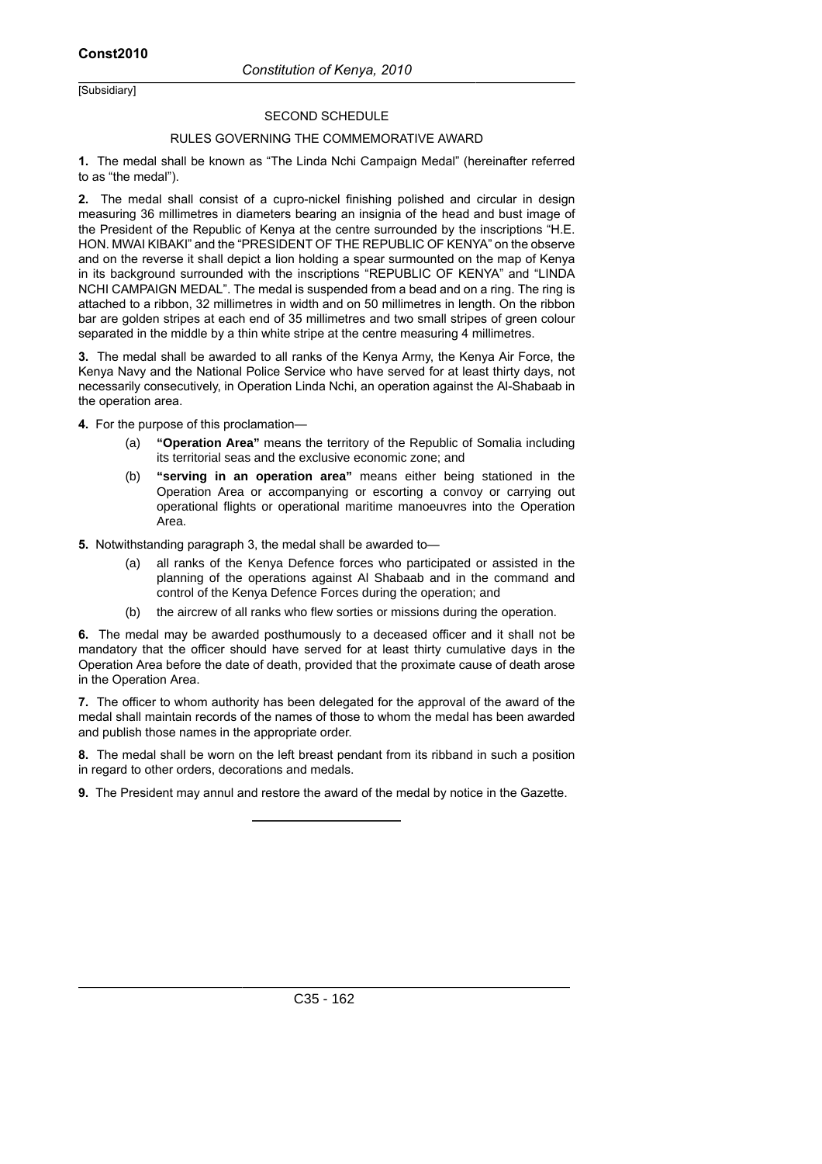#### SECOND SCHEDULE

#### RULES GOVERNING THE COMMEMORATIVE AWARD

**1.** The medal shall be known as "The Linda Nchi Campaign Medal" (hereinafter referred to as "the medal").

**2.** The medal shall consist of a cupro-nickel finishing polished and circular in design measuring 36 millimetres in diameters bearing an insignia of the head and bust image of the President of the Republic of Kenya at the centre surrounded by the inscriptions "H.E. HON. MWAI KIBAKI" and the "PRESIDENT OF THE REPUBLIC OF KENYA" on the observe and on the reverse it shall depict a lion holding a spear surmounted on the map of Kenya in its background surrounded with the inscriptions "REPUBLIC OF KENYA" and "LINDA NCHI CAMPAIGN MEDAL". The medal is suspended from a bead and on a ring. The ring is attached to a ribbon, 32 millimetres in width and on 50 millimetres in length. On the ribbon bar are golden stripes at each end of 35 millimetres and two small stripes of green colour separated in the middle by a thin white stripe at the centre measuring 4 millimetres.

**3.** The medal shall be awarded to all ranks of the Kenya Army, the Kenya Air Force, the Kenya Navy and the National Police Service who have served for at least thirty days, not necessarily consecutively, in Operation Linda Nchi, an operation against the Al-Shabaab in the operation area.

**4.** For the purpose of this proclamation—

- (a) **"Operation Area"** means the territory of the Republic of Somalia including its territorial seas and the exclusive economic zone; and
- (b) **"serving in an operation area"** means either being stationed in the Operation Area or accompanying or escorting a convoy or carrying out operational flights or operational maritime manoeuvres into the Operation Area.
- **5.** Notwithstanding paragraph 3, the medal shall be awarded to—
	- (a) all ranks of the Kenya Defence forces who participated or assisted in the planning of the operations against Al Shabaab and in the command and control of the Kenya Defence Forces during the operation; and
	- (b) the aircrew of all ranks who flew sorties or missions during the operation.

**6.** The medal may be awarded posthumously to a deceased officer and it shall not be mandatory that the officer should have served for at least thirty cumulative days in the Operation Area before the date of death, provided that the proximate cause of death arose in the Operation Area.

**7.** The officer to whom authority has been delegated for the approval of the award of the medal shall maintain records of the names of those to whom the medal has been awarded and publish those names in the appropriate order.

**8.** The medal shall be worn on the left breast pendant from its ribband in such a position in regard to other orders, decorations and medals.

**9.** The President may annul and restore the award of the medal by notice in the Gazette.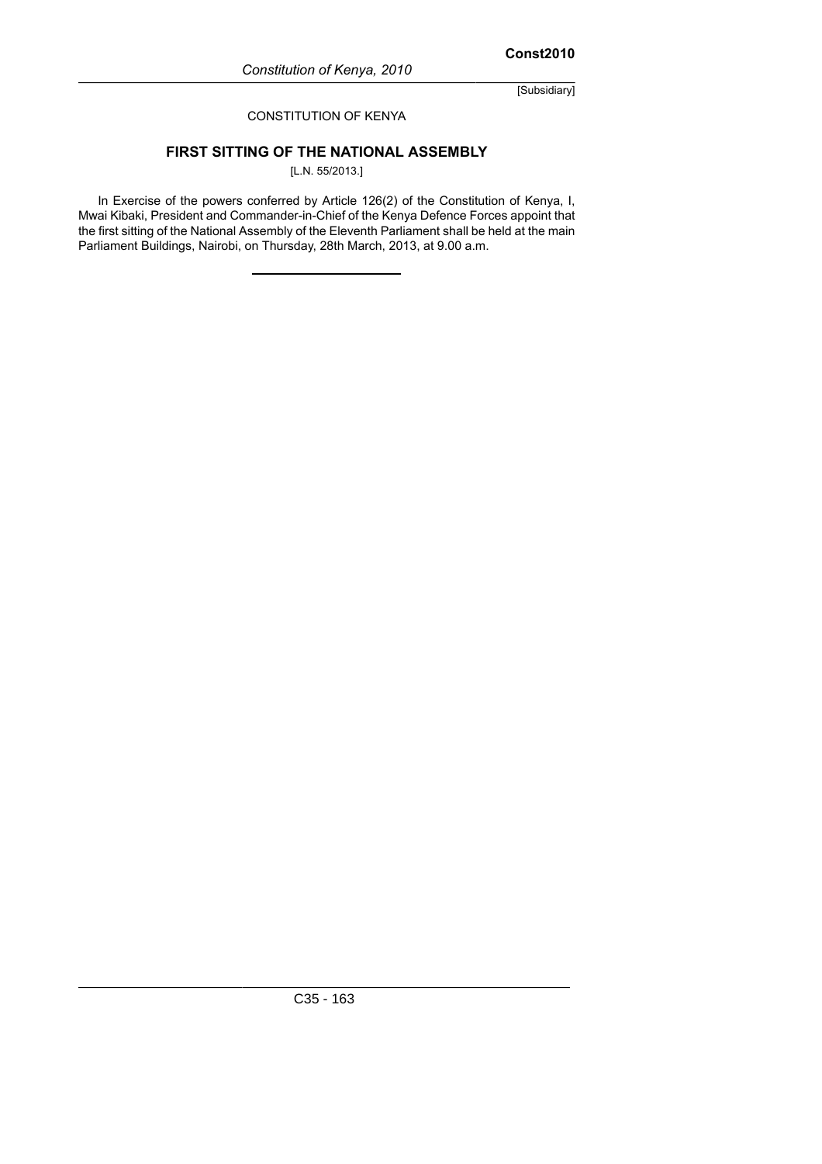# CONSTITUTION OF KENYA

# **FIRST SITTING OF THE NATIONAL ASSEMBLY**

[L.N. 55/2013.]

In Exercise of the powers conferred by Article 126(2) of the Constitution of Kenya, I, Mwai Kibaki, President and Commander-in-Chief of the Kenya Defence Forces appoint that the first sitting of the National Assembly of the Eleventh Parliament shall be held at the main Parliament Buildings, Nairobi, on Thursday, 28th March, 2013, at 9.00 a.m.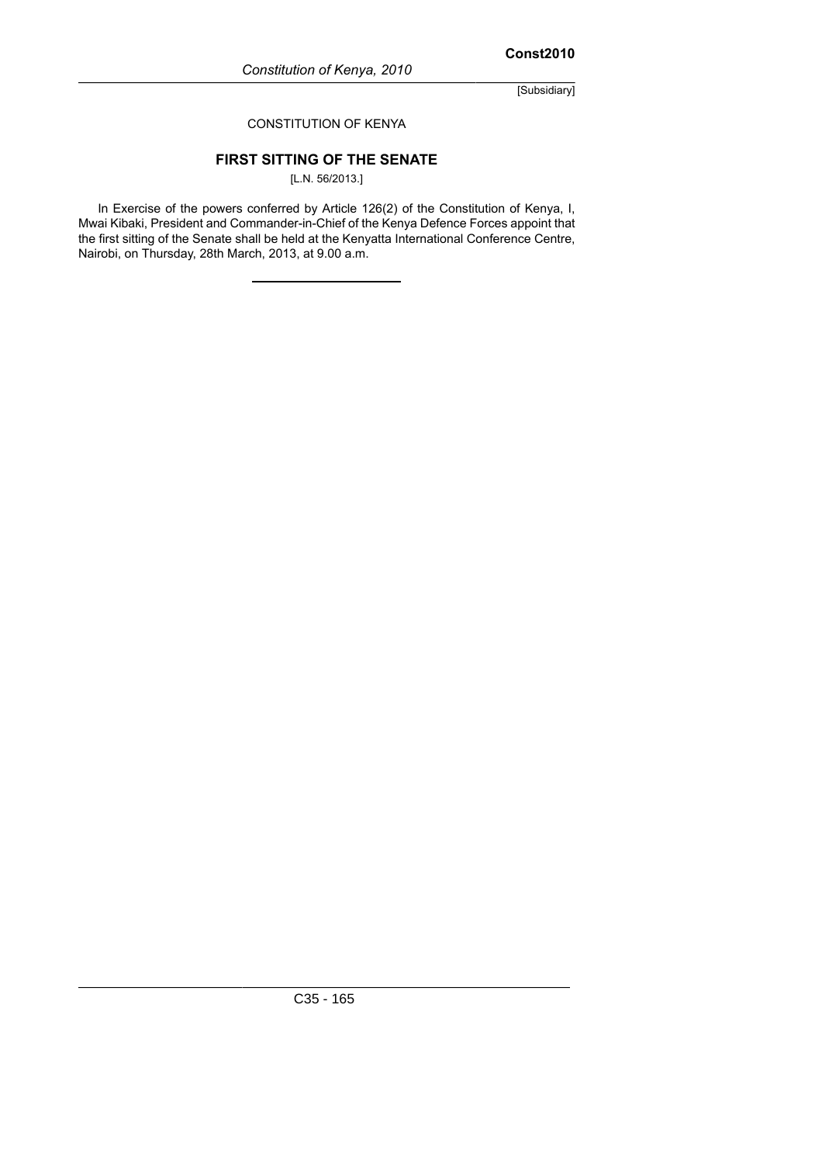## CONSTITUTION OF KENYA

# **FIRST SITTING OF THE SENATE**

[L.N. 56/2013.]

In Exercise of the powers conferred by Article 126(2) of the Constitution of Kenya, I, Mwai Kibaki, President and Commander-in-Chief of the Kenya Defence Forces appoint that the first sitting of the Senate shall be held at the Kenyatta International Conference Centre, Nairobi, on Thursday, 28th March, 2013, at 9.00 a.m.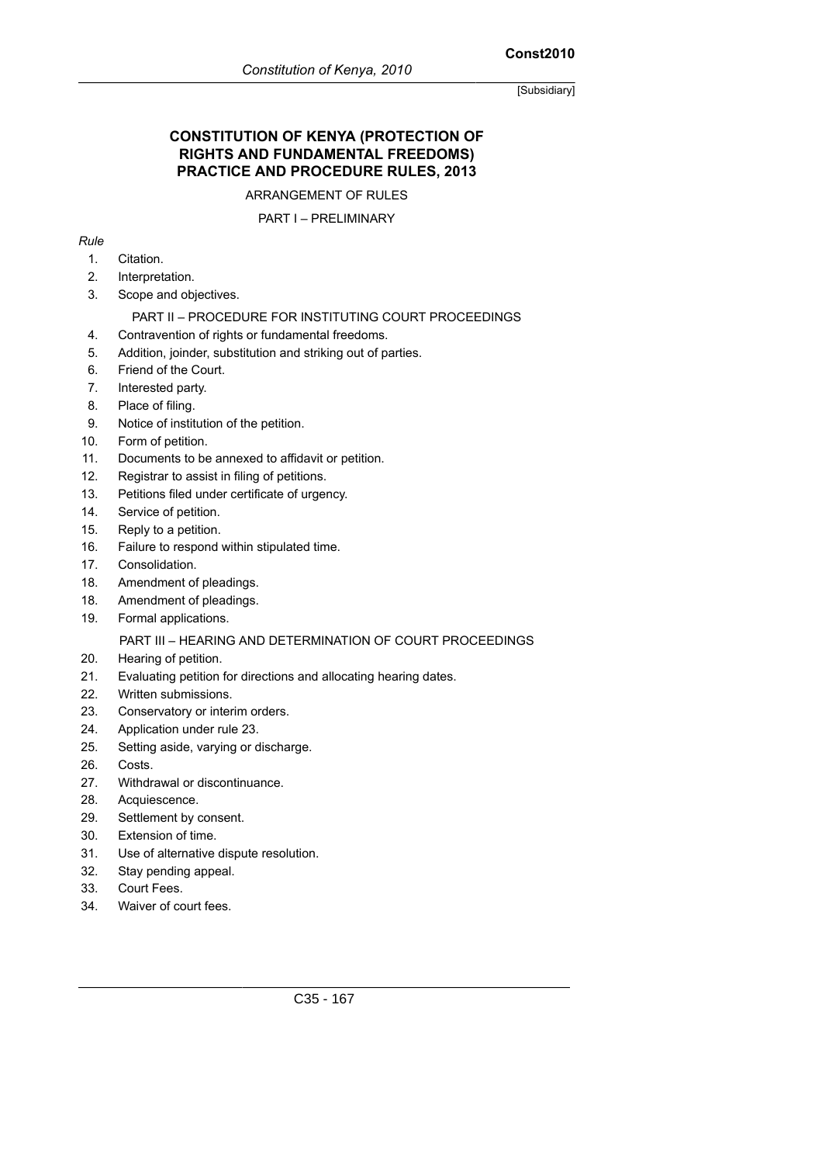# **Const2010**

[Subsidiary]

# **CONSTITUTION OF KENYA (PROTECTION OF RIGHTS AND FUNDAMENTAL FREEDOMS) PRACTICE AND PROCEDURE RULES, 2013**

ARRANGEMENT OF RULES

# PART I – PRELIMINARY

# *Rule*

- 1. Citation.
- 2. Interpretation.
- 3. Scope and objectives.

# PART II – PROCEDURE FOR INSTITUTING COURT PROCEEDINGS

- 4. Contravention of rights or fundamental freedoms.
- 5. Addition, joinder, substitution and striking out of parties.
- 6. Friend of the Court.
- 7. Interested party.
- 8. Place of filing.
- 9. Notice of institution of the petition.
- 10. Form of petition.
- 11. Documents to be annexed to affidavit or petition.
- 12. Registrar to assist in filing of petitions.
- 13. Petitions filed under certificate of urgency.
- 14. Service of petition.
- 15. Reply to a petition.
- 16. Failure to respond within stipulated time.
- 17. Consolidation.
- 18. Amendment of pleadings.
- 18. Amendment of pleadings.
- 19. Formal applications.

# PART III – HEARING AND DETERMINATION OF COURT PROCEEDINGS

- 20. Hearing of petition.
- 21. Evaluating petition for directions and allocating hearing dates.
- 22. Written submissions.
- 23. Conservatory or interim orders.
- 24. Application under rule 23.
- 25. Setting aside, varying or discharge.
- 26. Costs.
- 27. Withdrawal or discontinuance.
- 28. Acquiescence.
- 29. Settlement by consent.
- 30. Extension of time.
- 31. Use of alternative dispute resolution.
- 32. Stay pending appeal.
- 33. Court Fees.
- 34. Waiver of court fees.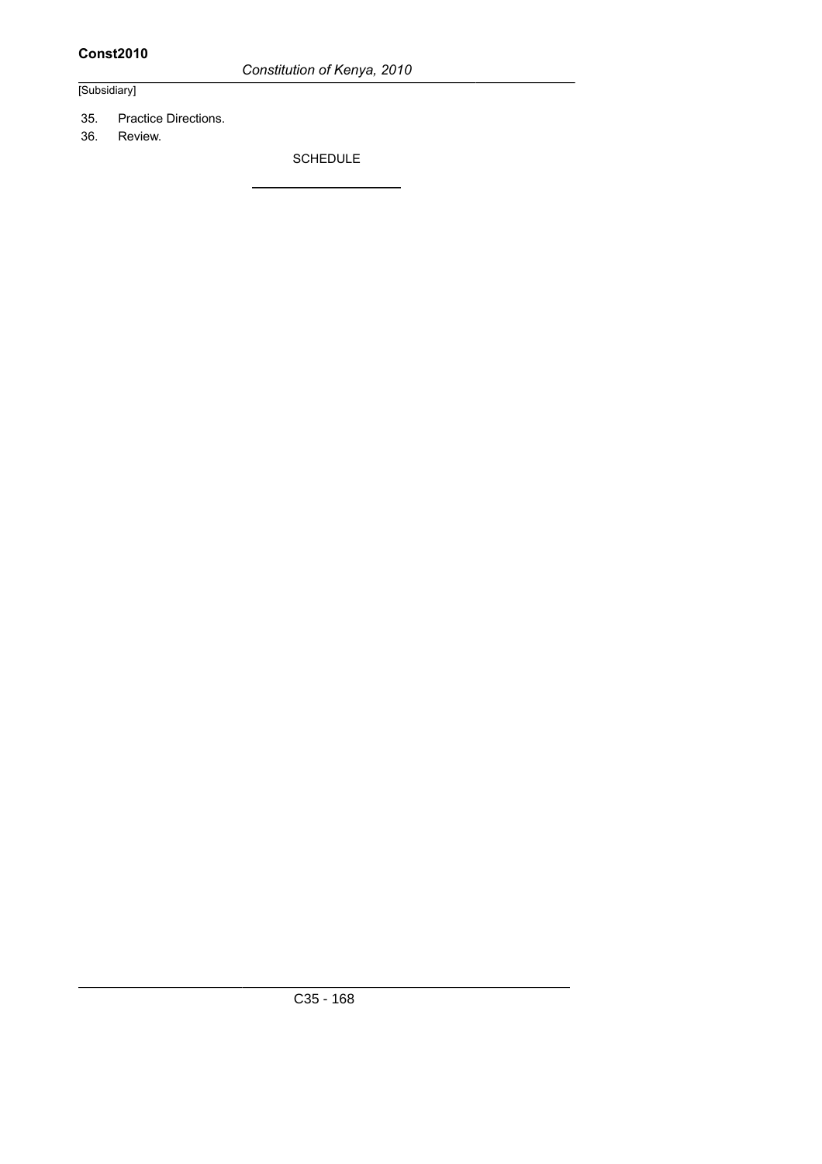*Constitution of Kenya, 2010*

# [Subsidiary]

- 35. Practice Directions.
- 36. Review.

SCHEDULE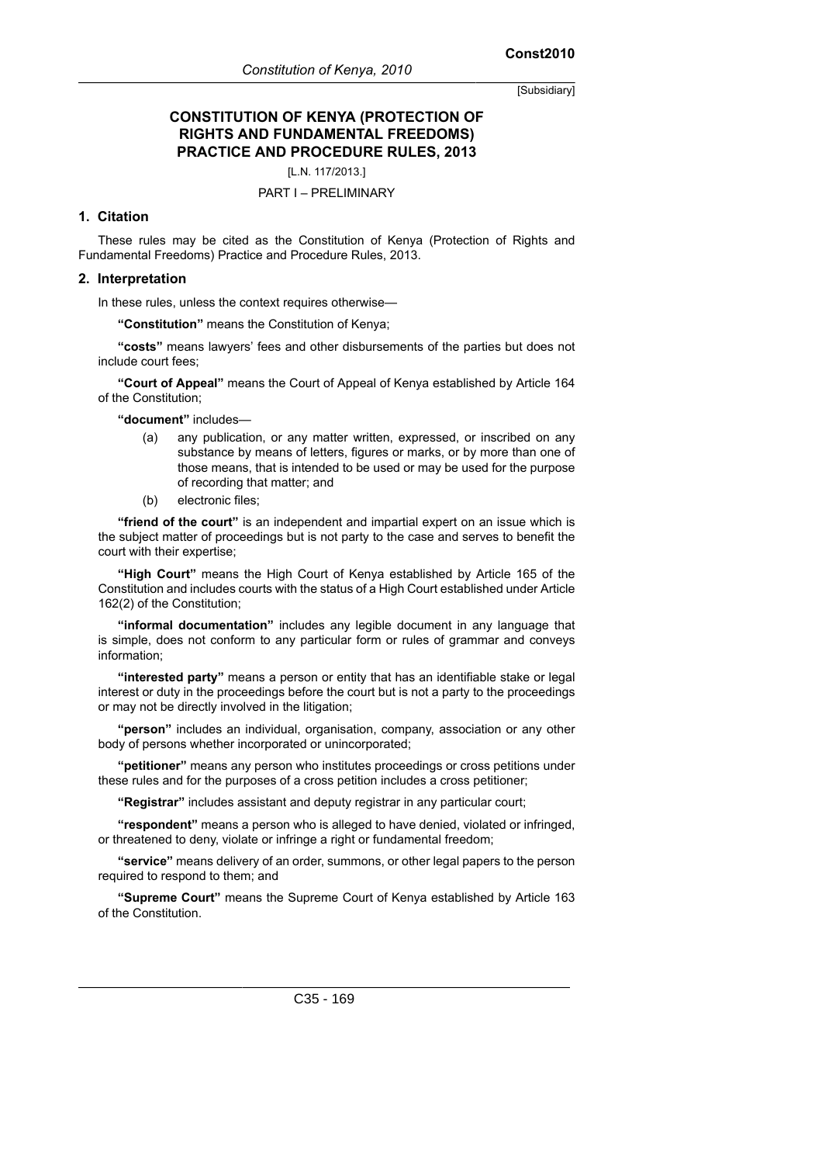# **CONSTITUTION OF KENYA (PROTECTION OF RIGHTS AND FUNDAMENTAL FREEDOMS) PRACTICE AND PROCEDURE RULES, 2013**

[L.N. 117/2013.]

#### PART I – PRELIMINARY

#### **1. Citation**

These rules may be cited as the Constitution of Kenya (Protection of Rights and Fundamental Freedoms) Practice and Procedure Rules, 2013.

#### **2. Interpretation**

In these rules, unless the context requires otherwise—

**"Constitution"** means the Constitution of Kenya;

**"costs"** means lawyers' fees and other disbursements of the parties but does not include court fees;

**"Court of Appeal"** means the Court of Appeal of Kenya established by Article 164 of the Constitution;

**"document"** includes—

- (a) any publication, or any matter written, expressed, or inscribed on any substance by means of letters, figures or marks, or by more than one of those means, that is intended to be used or may be used for the purpose of recording that matter; and
- (b) electronic files;

**"friend of the court"** is an independent and impartial expert on an issue which is the subject matter of proceedings but is not party to the case and serves to benefit the court with their expertise;

**"High Court"** means the High Court of Kenya established by Article 165 of the Constitution and includes courts with the status of a High Court established under Article 162(2) of the Constitution;

**"informal documentation"** includes any legible document in any language that is simple, does not conform to any particular form or rules of grammar and conveys information;

**"interested party"** means a person or entity that has an identifiable stake or legal interest or duty in the proceedings before the court but is not a party to the proceedings or may not be directly involved in the litigation;

**"person"** includes an individual, organisation, company, association or any other body of persons whether incorporated or unincorporated;

**"petitioner"** means any person who institutes proceedings or cross petitions under these rules and for the purposes of a cross petition includes a cross petitioner;

**"Registrar"** includes assistant and deputy registrar in any particular court;

**"respondent"** means a person who is alleged to have denied, violated or infringed, or threatened to deny, violate or infringe a right or fundamental freedom;

**"service"** means delivery of an order, summons, or other legal papers to the person required to respond to them; and

**"Supreme Court"** means the Supreme Court of Kenya established by Article 163 of the Constitution.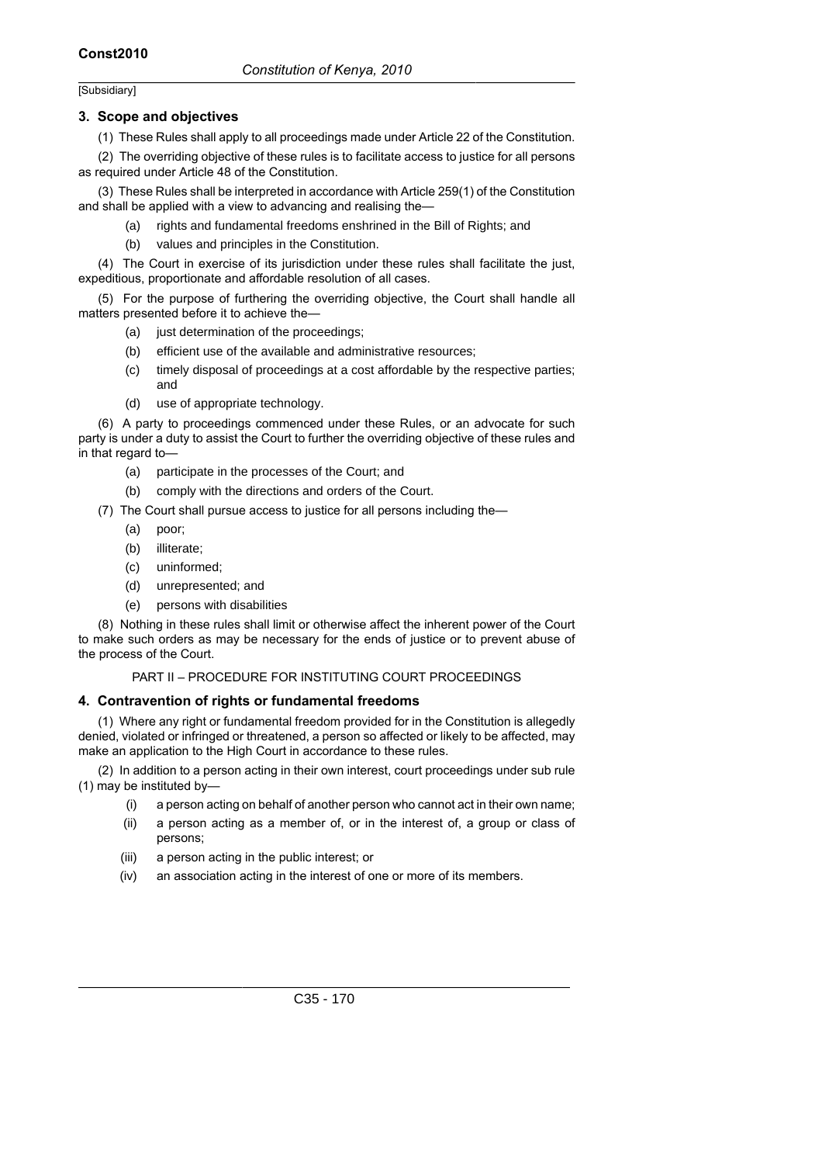#### **3. Scope and objectives**

(1) These Rules shall apply to all proceedings made under Article 22 of the Constitution.

(2) The overriding objective of these rules is to facilitate access to justice for all persons as required under Article 48 of the Constitution.

(3) These Rules shall be interpreted in accordance with Article 259(1) of the Constitution and shall be applied with a view to advancing and realising the—

(a) rights and fundamental freedoms enshrined in the Bill of Rights; and

(b) values and principles in the Constitution.

(4) The Court in exercise of its jurisdiction under these rules shall facilitate the just, expeditious, proportionate and affordable resolution of all cases.

(5) For the purpose of furthering the overriding objective, the Court shall handle all matters presented before it to achieve the—

- (a) just determination of the proceedings;
- (b) efficient use of the available and administrative resources;
- (c) timely disposal of proceedings at a cost affordable by the respective parties; and
- (d) use of appropriate technology.

(6) A party to proceedings commenced under these Rules, or an advocate for such party is under a duty to assist the Court to further the overriding objective of these rules and in that regard to—

- (a) participate in the processes of the Court; and
- (b) comply with the directions and orders of the Court.

(7) The Court shall pursue access to justice for all persons including the—

- (a) poor;
- (b) illiterate;
- (c) uninformed;
- (d) unrepresented; and
- (e) persons with disabilities

(8) Nothing in these rules shall limit or otherwise affect the inherent power of the Court to make such orders as may be necessary for the ends of justice or to prevent abuse of the process of the Court.

PART II – PROCEDURE FOR INSTITUTING COURT PROCEEDINGS

#### **4. Contravention of rights or fundamental freedoms**

(1) Where any right or fundamental freedom provided for in the Constitution is allegedly denied, violated or infringed or threatened, a person so affected or likely to be affected, may make an application to the High Court in accordance to these rules.

(2) In addition to a person acting in their own interest, court proceedings under sub rule (1) may be instituted by—

- (i) a person acting on behalf of another person who cannot act in their own name;
- (ii) a person acting as a member of, or in the interest of, a group or class of persons;
- (iii) a person acting in the public interest; or
- (iv) an association acting in the interest of one or more of its members.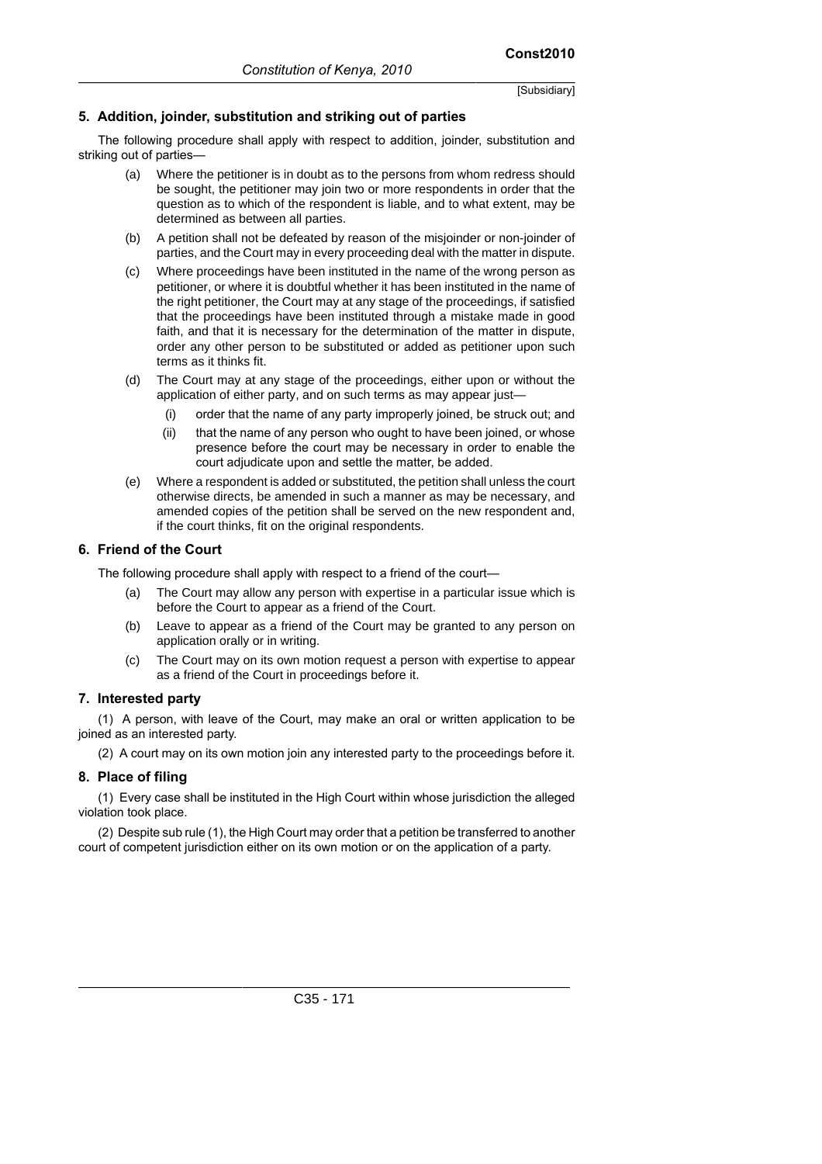# **5. Addition, joinder, substitution and striking out of parties**

The following procedure shall apply with respect to addition, joinder, substitution and striking out of parties—

- (a) Where the petitioner is in doubt as to the persons from whom redress should be sought, the petitioner may join two or more respondents in order that the question as to which of the respondent is liable, and to what extent, may be determined as between all parties.
- (b) A petition shall not be defeated by reason of the misjoinder or non-joinder of parties, and the Court may in every proceeding deal with the matter in dispute.
- (c) Where proceedings have been instituted in the name of the wrong person as petitioner, or where it is doubtful whether it has been instituted in the name of the right petitioner, the Court may at any stage of the proceedings, if satisfied that the proceedings have been instituted through a mistake made in good faith, and that it is necessary for the determination of the matter in dispute, order any other person to be substituted or added as petitioner upon such terms as it thinks fit.
- (d) The Court may at any stage of the proceedings, either upon or without the application of either party, and on such terms as may appear just—
	- (i) order that the name of any party improperly joined, be struck out; and
	- (ii) that the name of any person who ought to have been joined, or whose presence before the court may be necessary in order to enable the court adjudicate upon and settle the matter, be added.
- (e) Where a respondent is added or substituted, the petition shall unless the court otherwise directs, be amended in such a manner as may be necessary, and amended copies of the petition shall be served on the new respondent and, if the court thinks, fit on the original respondents.

# **6. Friend of the Court**

The following procedure shall apply with respect to a friend of the court—

- (a) The Court may allow any person with expertise in a particular issue which is before the Court to appear as a friend of the Court.
- (b) Leave to appear as a friend of the Court may be granted to any person on application orally or in writing.
- (c) The Court may on its own motion request a person with expertise to appear as a friend of the Court in proceedings before it.

#### **7. Interested party**

(1) A person, with leave of the Court, may make an oral or written application to be joined as an interested party.

(2) A court may on its own motion join any interested party to the proceedings before it.

#### **8. Place of filing**

(1) Every case shall be instituted in the High Court within whose jurisdiction the alleged violation took place.

(2) Despite sub rule (1), the High Court may order that a petition be transferred to another court of competent jurisdiction either on its own motion or on the application of a party.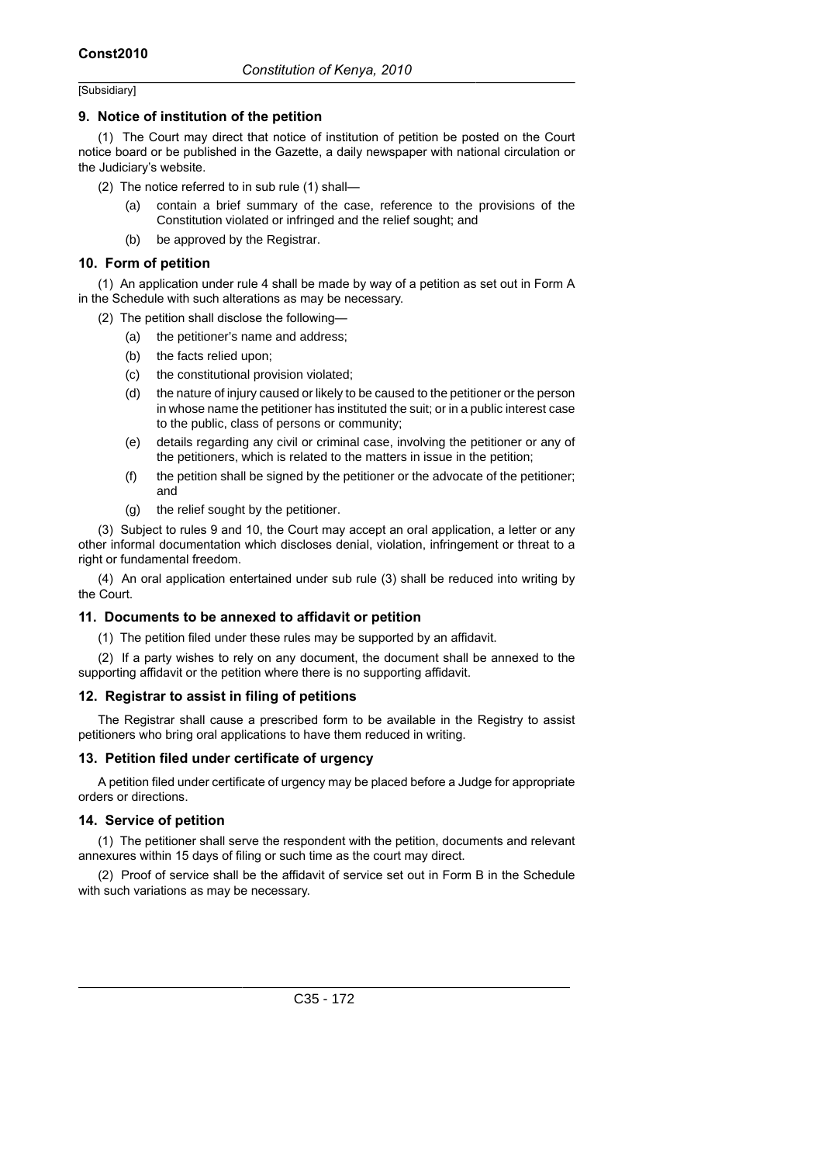#### **9. Notice of institution of the petition**

(1) The Court may direct that notice of institution of petition be posted on the Court notice board or be published in the Gazette, a daily newspaper with national circulation or the Judiciary's website.

- (2) The notice referred to in sub rule (1) shall—
	- (a) contain a brief summary of the case, reference to the provisions of the Constitution violated or infringed and the relief sought; and
	- (b) be approved by the Registrar.

#### **10. Form of petition**

(1) An application under rule 4 shall be made by way of a petition as set out in Form A in the Schedule with such alterations as may be necessary.

- (2) The petition shall disclose the following—
	- (a) the petitioner's name and address;
	- (b) the facts relied upon;
	- (c) the constitutional provision violated;
	- (d) the nature of injury caused or likely to be caused to the petitioner or the person in whose name the petitioner has instituted the suit; or in a public interest case to the public, class of persons or community;
	- (e) details regarding any civil or criminal case, involving the petitioner or any of the petitioners, which is related to the matters in issue in the petition;
	- (f) the petition shall be signed by the petitioner or the advocate of the petitioner; and
	- (g) the relief sought by the petitioner.

(3) Subject to rules 9 and 10, the Court may accept an oral application, a letter or any other informal documentation which discloses denial, violation, infringement or threat to a right or fundamental freedom.

(4) An oral application entertained under sub rule (3) shall be reduced into writing by the Court.

# **11. Documents to be annexed to affidavit or petition**

(1) The petition filed under these rules may be supported by an affidavit.

(2) If a party wishes to rely on any document, the document shall be annexed to the supporting affidavit or the petition where there is no supporting affidavit.

#### **12. Registrar to assist in filing of petitions**

The Registrar shall cause a prescribed form to be available in the Registry to assist petitioners who bring oral applications to have them reduced in writing.

#### **13. Petition filed under certificate of urgency**

A petition filed under certificate of urgency may be placed before a Judge for appropriate orders or directions.

#### **14. Service of petition**

(1) The petitioner shall serve the respondent with the petition, documents and relevant annexures within 15 days of filing or such time as the court may direct.

(2) Proof of service shall be the affidavit of service set out in Form B in the Schedule with such variations as may be necessary.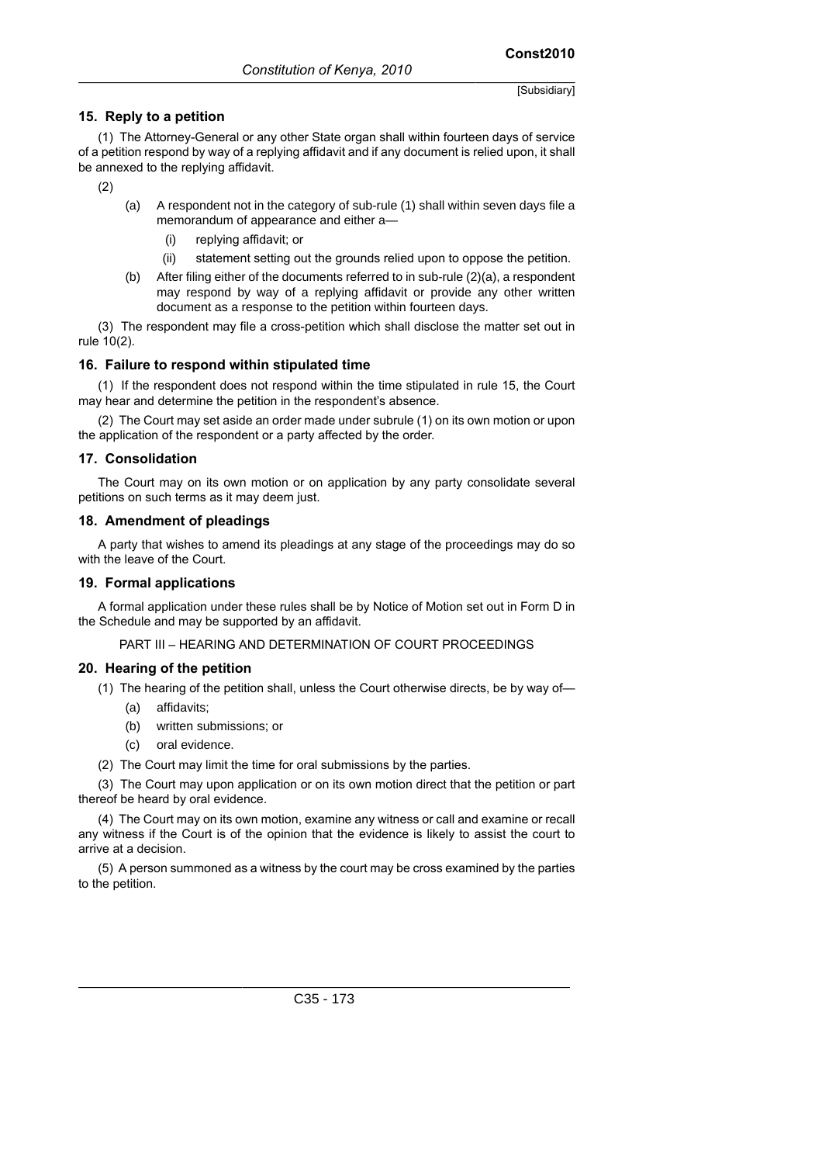(1) The Attorney-General or any other State organ shall within fourteen days of service of a petition respond by way of a replying affidavit and if any document is relied upon, it shall be annexed to the replying affidavit.

(2)

- (a) A respondent not in the category of sub-rule (1) shall within seven days file a memorandum of appearance and either a—
	- (i) replying affidavit; or
	- (ii) statement setting out the grounds relied upon to oppose the petition.
- (b) After filing either of the documents referred to in sub-rule (2)(a), a respondent may respond by way of a replying affidavit or provide any other written document as a response to the petition within fourteen days.

(3) The respondent may file a cross-petition which shall disclose the matter set out in rule 10(2).

#### **16. Failure to respond within stipulated time**

(1) If the respondent does not respond within the time stipulated in rule 15, the Court may hear and determine the petition in the respondent's absence.

(2) The Court may set aside an order made under subrule (1) on its own motion or upon the application of the respondent or a party affected by the order.

# **17. Consolidation**

The Court may on its own motion or on application by any party consolidate several petitions on such terms as it may deem just.

# **18. Amendment of pleadings**

A party that wishes to amend its pleadings at any stage of the proceedings may do so with the leave of the Court.

# **19. Formal applications**

A formal application under these rules shall be by Notice of Motion set out in Form D in the Schedule and may be supported by an affidavit.

PART III – HEARING AND DETERMINATION OF COURT PROCEEDINGS

# **20. Hearing of the petition**

(1) The hearing of the petition shall, unless the Court otherwise directs, be by way of—

- (a) affidavits;
- (b) written submissions; or
- (c) oral evidence.

(2) The Court may limit the time for oral submissions by the parties.

(3) The Court may upon application or on its own motion direct that the petition or part thereof be heard by oral evidence.

(4) The Court may on its own motion, examine any witness or call and examine or recall any witness if the Court is of the opinion that the evidence is likely to assist the court to arrive at a decision.

(5) A person summoned as a witness by the court may be cross examined by the parties to the petition.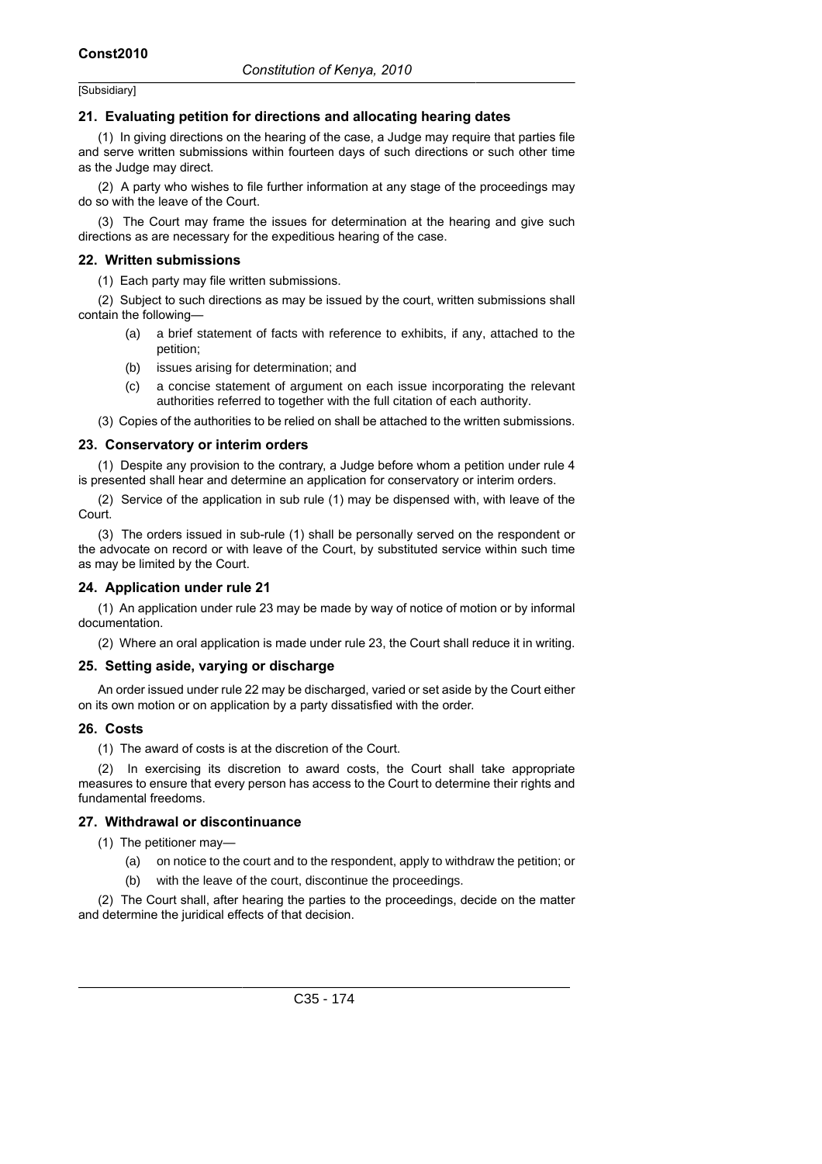#### **21. Evaluating petition for directions and allocating hearing dates**

(1) In giving directions on the hearing of the case, a Judge may require that parties file and serve written submissions within fourteen days of such directions or such other time as the Judge may direct.

(2) A party who wishes to file further information at any stage of the proceedings may do so with the leave of the Court.

(3) The Court may frame the issues for determination at the hearing and give such directions as are necessary for the expeditious hearing of the case.

#### **22. Written submissions**

(1) Each party may file written submissions.

(2) Subject to such directions as may be issued by the court, written submissions shall contain the following—

- (a) a brief statement of facts with reference to exhibits, if any, attached to the petition;
- (b) issues arising for determination; and
- (c) a concise statement of argument on each issue incorporating the relevant authorities referred to together with the full citation of each authority.

(3) Copies of the authorities to be relied on shall be attached to the written submissions.

#### **23. Conservatory or interim orders**

(1) Despite any provision to the contrary, a Judge before whom a petition under rule 4 is presented shall hear and determine an application for conservatory or interim orders.

(2) Service of the application in sub rule (1) may be dispensed with, with leave of the Court.

(3) The orders issued in sub-rule (1) shall be personally served on the respondent or the advocate on record or with leave of the Court, by substituted service within such time as may be limited by the Court.

#### **24. Application under rule 21**

(1) An application under rule 23 may be made by way of notice of motion or by informal documentation.

(2) Where an oral application is made under rule 23, the Court shall reduce it in writing.

#### **25. Setting aside, varying or discharge**

An order issued under rule 22 may be discharged, varied or set aside by the Court either on its own motion or on application by a party dissatisfied with the order.

#### **26. Costs**

(1) The award of costs is at the discretion of the Court.

(2) In exercising its discretion to award costs, the Court shall take appropriate measures to ensure that every person has access to the Court to determine their rights and fundamental freedoms.

#### **27. Withdrawal or discontinuance**

(1) The petitioner may—

- (a) on notice to the court and to the respondent, apply to withdraw the petition; or
- (b) with the leave of the court, discontinue the proceedings.

(2) The Court shall, after hearing the parties to the proceedings, decide on the matter and determine the juridical effects of that decision.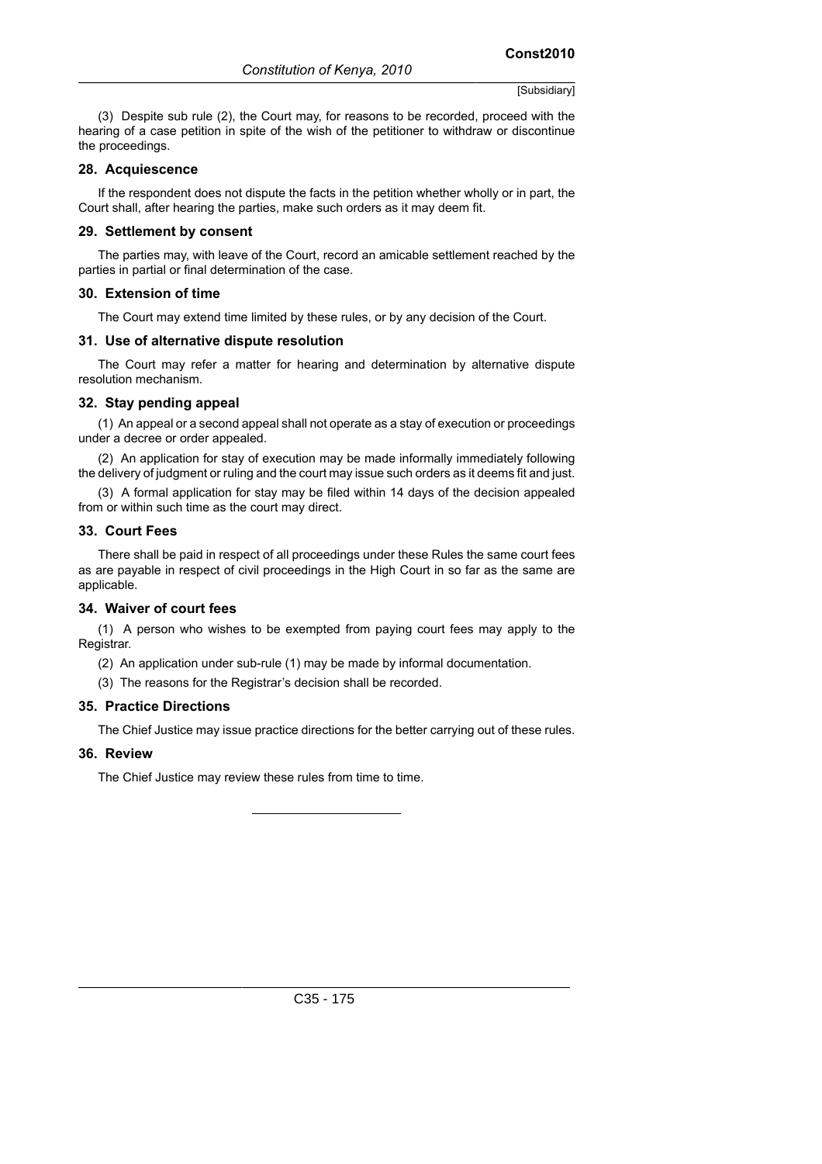(3) Despite sub rule (2), the Court may, for reasons to be recorded, proceed with the hearing of a case petition in spite of the wish of the petitioner to withdraw or discontinue the proceedings.

#### **28. Acquiescence**

If the respondent does not dispute the facts in the petition whether wholly or in part, the Court shall, after hearing the parties, make such orders as it may deem fit.

#### **29. Settlement by consent**

The parties may, with leave of the Court, record an amicable settlement reached by the parties in partial or final determination of the case.

#### **30. Extension of time**

The Court may extend time limited by these rules, or by any decision of the Court.

#### **31. Use of alternative dispute resolution**

The Court may refer a matter for hearing and determination by alternative dispute resolution mechanism.

#### **32. Stay pending appeal**

(1) An appeal or a second appeal shall not operate as a stay of execution or proceedings under a decree or order appealed.

(2) An application for stay of execution may be made informally immediately following the delivery of judgment or ruling and the court may issue such orders as it deems fit and just.

(3) A formal application for stay may be filed within 14 days of the decision appealed from or within such time as the court may direct.

#### **33. Court Fees**

There shall be paid in respect of all proceedings under these Rules the same court fees as are payable in respect of civil proceedings in the High Court in so far as the same are applicable.

#### **34. Waiver of court fees**

(1) A person who wishes to be exempted from paying court fees may apply to the Registrar.

(2) An application under sub-rule (1) may be made by informal documentation.

(3) The reasons for the Registrar's decision shall be recorded.

#### **35. Practice Directions**

The Chief Justice may issue practice directions for the better carrying out of these rules.

# **36. Review**

The Chief Justice may review these rules from time to time.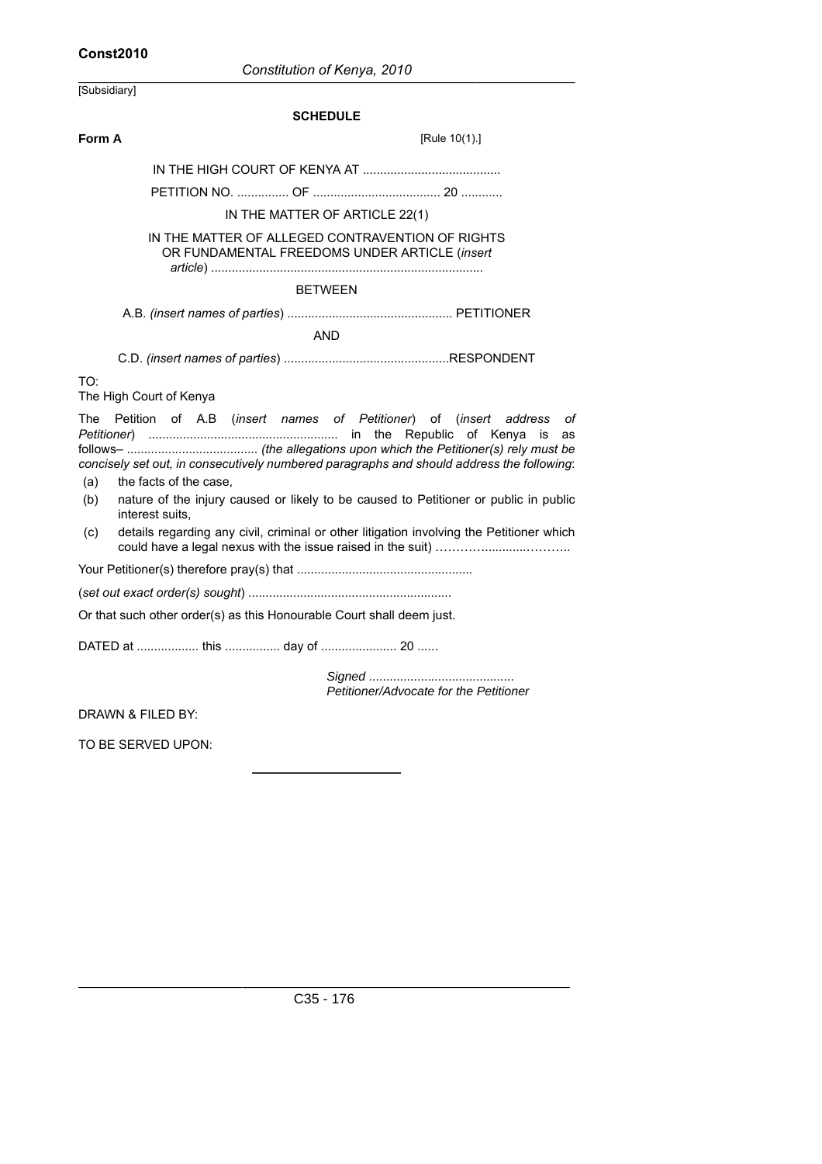# **Const2010**

| [Subsidiary]                                                                                                                                                                                                                                                                                                   |                                                 |  |  |  |
|----------------------------------------------------------------------------------------------------------------------------------------------------------------------------------------------------------------------------------------------------------------------------------------------------------------|-------------------------------------------------|--|--|--|
| <b>SCHEDULE</b>                                                                                                                                                                                                                                                                                                |                                                 |  |  |  |
| Form A                                                                                                                                                                                                                                                                                                         | [Rule 10(1).]                                   |  |  |  |
|                                                                                                                                                                                                                                                                                                                |                                                 |  |  |  |
|                                                                                                                                                                                                                                                                                                                |                                                 |  |  |  |
| IN THE MATTER OF ARTICLE 22(1)                                                                                                                                                                                                                                                                                 |                                                 |  |  |  |
| IN THE MATTER OF ALLEGED CONTRAVENTION OF RIGHTS<br>OR FUNDAMENTAL FREEDOMS UNDER ARTICLE (insert                                                                                                                                                                                                              |                                                 |  |  |  |
|                                                                                                                                                                                                                                                                                                                |                                                 |  |  |  |
| <b>BETWEEN</b>                                                                                                                                                                                                                                                                                                 |                                                 |  |  |  |
|                                                                                                                                                                                                                                                                                                                |                                                 |  |  |  |
| <b>AND</b>                                                                                                                                                                                                                                                                                                     |                                                 |  |  |  |
|                                                                                                                                                                                                                                                                                                                |                                                 |  |  |  |
| TO:<br>The High Court of Kenya                                                                                                                                                                                                                                                                                 |                                                 |  |  |  |
| Petition of A.B (insert names of Petitioner) of (insert<br>The<br>concisely set out, in consecutively numbered paragraphs and should address the following:<br>the facts of the case,<br>(a)<br>nature of the injury caused or likely to be caused to Petitioner or public in public<br>(b)<br>interest suits. | address<br>О1<br>the Republic of Kenya is<br>as |  |  |  |
| details regarding any civil, criminal or other litigation involving the Petitioner which<br>(C)                                                                                                                                                                                                                |                                                 |  |  |  |
|                                                                                                                                                                                                                                                                                                                |                                                 |  |  |  |
|                                                                                                                                                                                                                                                                                                                |                                                 |  |  |  |
| Or that such other order(s) as this Honourable Court shall deem just.                                                                                                                                                                                                                                          |                                                 |  |  |  |
| DATED at  this  day of  20                                                                                                                                                                                                                                                                                     |                                                 |  |  |  |
| Petitioner/Advocate for the Petitioner                                                                                                                                                                                                                                                                         |                                                 |  |  |  |
| DRAWN & FILED BY:                                                                                                                                                                                                                                                                                              |                                                 |  |  |  |
| TO BE SERVED UPON:                                                                                                                                                                                                                                                                                             |                                                 |  |  |  |
|                                                                                                                                                                                                                                                                                                                |                                                 |  |  |  |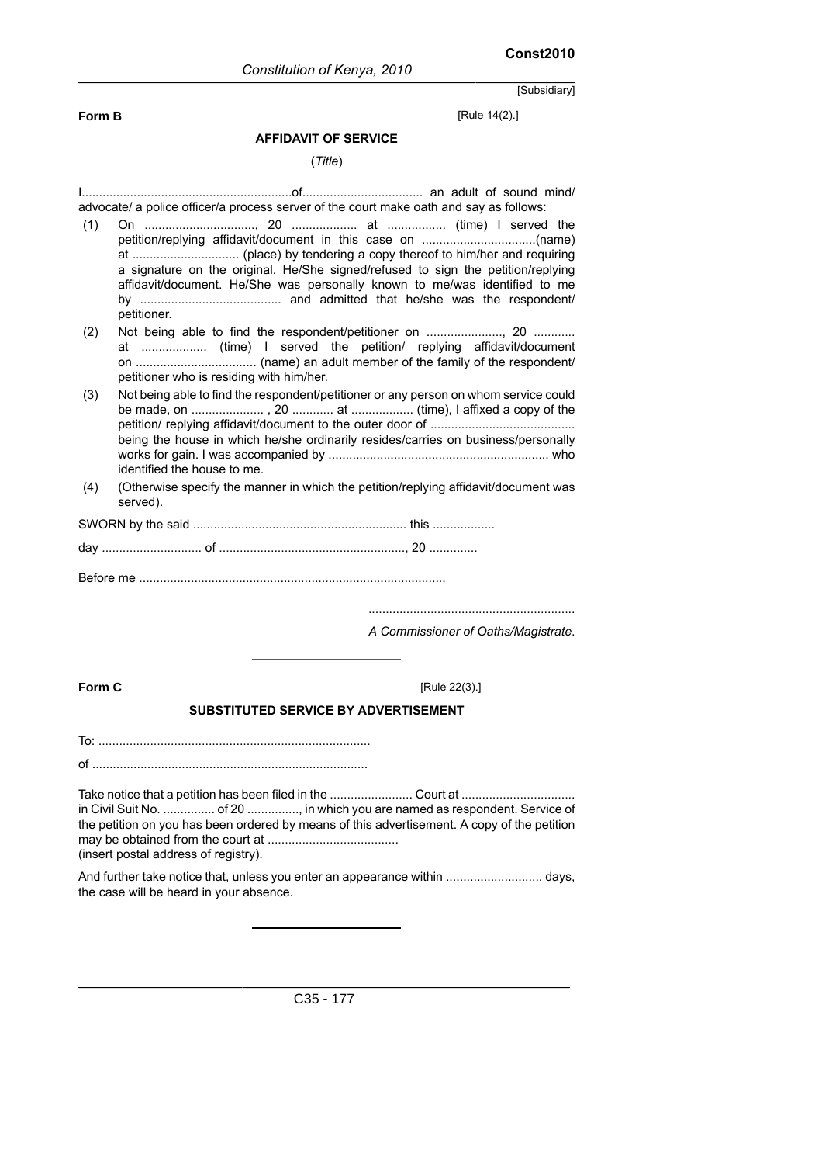**Form B** [Rule 14(2).]

#### **AFFIDAVIT OF SERVICE**

#### (*Title*)

I.............................................................of................................... an adult of sound mind/ advocate/ a police officer/a process server of the court make oath and say as follows: (1) On ................................, 20 ................... at ................. (time) I served the petition/replying affidavit/document in this case on .................................(name) at ............................... (place) by tendering a copy thereof to him/her and requiring a signature on the original. He/She signed/refused to sign the petition/replying affidavit/document. He/She was personally known to me/was identified to me by ......................................... and admitted that he/she was the respondent/ petitioner. (2) Not being able to find the respondent/petitioner on ......................, 20 ............ at ................... (time) I served the petition/ replying affidavit/document on ................................... (name) an adult member of the family of the respondent/ petitioner who is residing with him/her. (3) Not being able to find the respondent/petitioner or any person on whom service could be made, on ..................... , 20 ............ at .................. (time), I affixed a copy of the petition/ replying affidavit/document to the outer door of .......................................... being the house in which he/she ordinarily resides/carries on business/personally works for gain. I was accompanied by ................................................................ who identified the house to me. (4) (Otherwise specify the manner in which the petition/replying affidavit/document was served). SWORN by the said .............................................................. this .................. day ............................. of ......................................................, 20 .............. Before me ......................................................................................... ............................................................ *A Commissioner of Oaths/Magistrate*. **Form C** [Rule 22(3).] **SUBSTITUTED SERVICE BY ADVERTISEMENT** To: ............................................................................... of ................................................................................ Take notice that a petition has been filed in the ......................... Court at ............................ in Civil Suit No. ............... of 20 ..............., in which you are named as respondent. Service of the petition on you has been ordered by means of this advertisement. A copy of the petition may be obtained from the court at ...................................... (insert postal address of registry). And further take notice that, unless you enter an appearance within ............................ days, the case will be heard in your absence.

C35 - 177